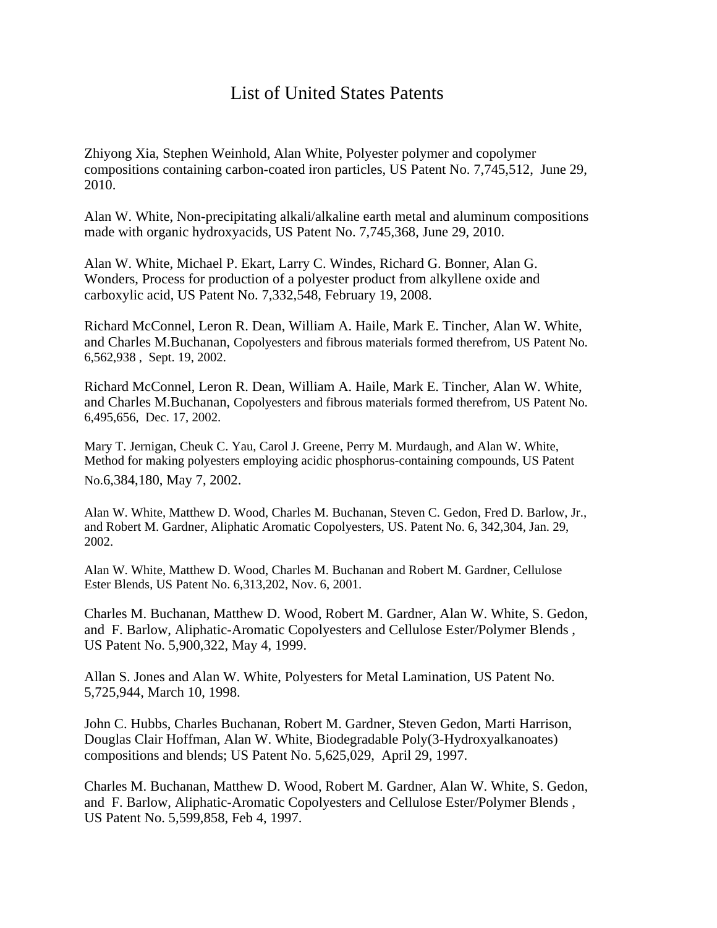## List of United States Patents

Zhiyong Xia, Stephen Weinhold, Alan White, Polyester polymer and copolymer compositions containing carbon-coated iron particles, US Patent No. 7,745,512, June 29, 2010.

Alan W. White, Non-precipitating alkali/alkaline earth metal and aluminum compositions made with organic hydroxyacids, US Patent No. 7,745,368, June 29, 2010.

Alan W. White, Michael P. Ekart, Larry C. Windes, Richard G. Bonner, Alan G. Wonders, Process for production of a polyester product from alkyllene oxide and carboxylic acid, US Patent No. 7,332,548, February 19, 2008.

Richard McConnel, Leron R. Dean, William A. Haile, Mark E. Tincher, Alan W. White, and Charles M.Buchanan, Copolyesters and fibrous materials formed therefrom, US Patent No. 6,562,938 , Sept. 19, 2002.

Richard McConnel, Leron R. Dean, William A. Haile, Mark E. Tincher, Alan W. White, and Charles M.Buchanan, Copolyesters and fibrous materials formed therefrom, US Patent No. 6,495,656, Dec. 17, 2002.

Mary T. Jernigan, Cheuk C. Yau, Carol J. Greene, Perry M. Murdaugh, and Alan W. White, Method for making polyesters employing acidic phosphorus-containing compounds, US Patent No.6,384,180, May 7, 2002.

Alan W. White, Matthew D. Wood, Charles M. Buchanan, Steven C. Gedon, Fred D. Barlow, Jr., and Robert M. Gardner, Aliphatic Aromatic Copolyesters, US. Patent No. 6, 342,304, Jan. 29, 2002.

Alan W. White, Matthew D. Wood, Charles M. Buchanan and Robert M. Gardner, Cellulose Ester Blends, US Patent No. 6,313,202, Nov. 6, 2001.

Charles M. Buchanan, Matthew D. Wood, Robert M. Gardner, Alan W. White, S. Gedon, and F. Barlow, Aliphatic-Aromatic Copolyesters and Cellulose Ester/Polymer Blends , US Patent No. 5,900,322, May 4, 1999.

Allan S. Jones and Alan W. White, Polyesters for Metal Lamination, US Patent No. 5,725,944, March 10, 1998.

John C. Hubbs, Charles Buchanan, Robert M. Gardner, Steven Gedon, Marti Harrison, Douglas Clair Hoffman, Alan W. White, Biodegradable Poly(3-Hydroxyalkanoates) compositions and blends; US Patent No. 5,625,029, April 29, 1997.

Charles M. Buchanan, Matthew D. Wood, Robert M. Gardner, Alan W. White, S. Gedon, and F. Barlow, Aliphatic-Aromatic Copolyesters and Cellulose Ester/Polymer Blends , US Patent No. 5,599,858, Feb 4, 1997.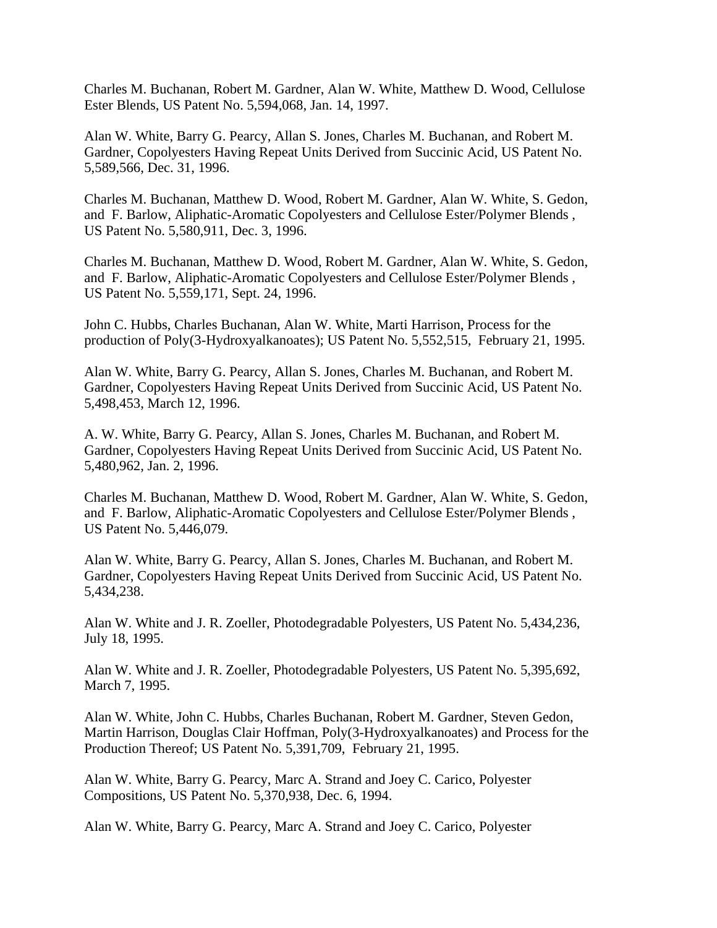Charles M. Buchanan, Robert M. Gardner, Alan W. White, Matthew D. Wood, Cellulose Ester Blends, US Patent No. 5,594,068, Jan. 14, 1997.

Alan W. White, Barry G. Pearcy, Allan S. Jones, Charles M. Buchanan, and Robert M. Gardner, Copolyesters Having Repeat Units Derived from Succinic Acid, US Patent No. 5,589,566, Dec. 31, 1996.

Charles M. Buchanan, Matthew D. Wood, Robert M. Gardner, Alan W. White, S. Gedon, and F. Barlow, Aliphatic-Aromatic Copolyesters and Cellulose Ester/Polymer Blends , US Patent No. 5,580,911, Dec. 3, 1996.

Charles M. Buchanan, Matthew D. Wood, Robert M. Gardner, Alan W. White, S. Gedon, and F. Barlow, Aliphatic-Aromatic Copolyesters and Cellulose Ester/Polymer Blends , US Patent No. 5,559,171, Sept. 24, 1996.

John C. Hubbs, Charles Buchanan, Alan W. White, Marti Harrison, Process for the production of Poly(3-Hydroxyalkanoates); US Patent No. 5,552,515, February 21, 1995.

Alan W. White, Barry G. Pearcy, Allan S. Jones, Charles M. Buchanan, and Robert M. Gardner, Copolyesters Having Repeat Units Derived from Succinic Acid, US Patent No. 5,498,453, March 12, 1996.

A. W. White, Barry G. Pearcy, Allan S. Jones, Charles M. Buchanan, and Robert M. Gardner, Copolyesters Having Repeat Units Derived from Succinic Acid, US Patent No. 5,480,962, Jan. 2, 1996.

Charles M. Buchanan, Matthew D. Wood, Robert M. Gardner, Alan W. White, S. Gedon, and F. Barlow, Aliphatic-Aromatic Copolyesters and Cellulose Ester/Polymer Blends , US Patent No. 5,446,079.

Alan W. White, Barry G. Pearcy, Allan S. Jones, Charles M. Buchanan, and Robert M. Gardner, Copolyesters Having Repeat Units Derived from Succinic Acid, US Patent No. 5,434,238.

Alan W. White and J. R. Zoeller, Photodegradable Polyesters, US Patent No. 5,434,236, July 18, 1995.

Alan W. White and J. R. Zoeller, Photodegradable Polyesters, US Patent No. 5,395,692, March 7, 1995.

Alan W. White, John C. Hubbs, Charles Buchanan, Robert M. Gardner, Steven Gedon, Martin Harrison, Douglas Clair Hoffman, Poly(3-Hydroxyalkanoates) and Process for the Production Thereof; US Patent No. 5,391,709, February 21, 1995.

Alan W. White, Barry G. Pearcy, Marc A. Strand and Joey C. Carico, Polyester Compositions, US Patent No. 5,370,938, Dec. 6, 1994.

Alan W. White, Barry G. Pearcy, Marc A. Strand and Joey C. Carico, Polyester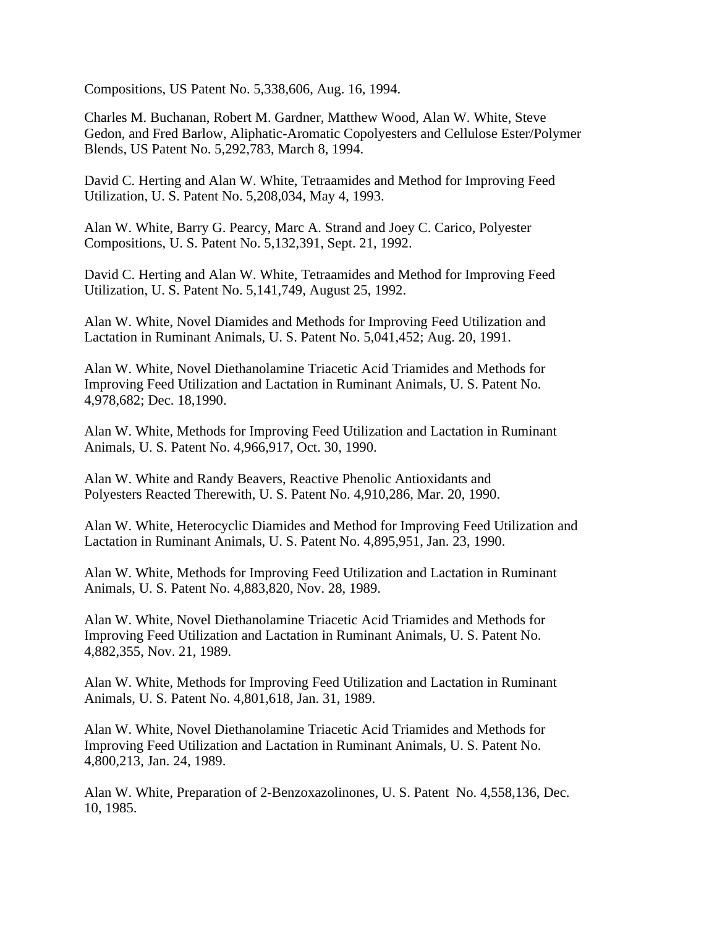Compositions, US Patent No. 5,338,606, Aug. 16, 1994.

Charles M. Buchanan, Robert M. Gardner, Matthew Wood, Alan W. White, Steve Gedon, and Fred Barlow, Aliphatic-Aromatic Copolyesters and Cellulose Ester/Polymer Blends, US Patent No. 5,292,783, March 8, 1994.

David C. Herting and Alan W. White, Tetraamides and Method for Improving Feed Utilization, U. S. Patent No. 5,208,034, May 4, 1993.

Alan W. White, Barry G. Pearcy, Marc A. Strand and Joey C. Carico, Polyester Compositions, U. S. Patent No. 5,132,391, Sept. 21, 1992.

David C. Herting and Alan W. White, Tetraamides and Method for Improving Feed Utilization, U. S. Patent No. 5,141,749, August 25, 1992.

Alan W. White, Novel Diamides and Methods for Improving Feed Utilization and Lactation in Ruminant Animals, U. S. Patent No. 5,041,452; Aug. 20, 1991.

Alan W. White, Novel Diethanolamine Triacetic Acid Triamides and Methods for Improving Feed Utilization and Lactation in Ruminant Animals, U. S. Patent No. 4,978,682; Dec. 18,1990.

Alan W. White, Methods for Improving Feed Utilization and Lactation in Ruminant Animals, U. S. Patent No. 4,966,917, Oct. 30, 1990.

Alan W. White and Randy Beavers, Reactive Phenolic Antioxidants and Polyesters Reacted Therewith, U. S. Patent No. 4,910,286, Mar. 20, 1990.

Alan W. White, Heterocyclic Diamides and Method for Improving Feed Utilization and Lactation in Ruminant Animals, U. S. Patent No. 4,895,951, Jan. 23, 1990.

Alan W. White, Methods for Improving Feed Utilization and Lactation in Ruminant Animals, U. S. Patent No. 4,883,820, Nov. 28, 1989.

Alan W. White, Novel Diethanolamine Triacetic Acid Triamides and Methods for Improving Feed Utilization and Lactation in Ruminant Animals, U. S. Patent No. 4,882,355, Nov. 21, 1989.

Alan W. White, Methods for Improving Feed Utilization and Lactation in Ruminant Animals, U. S. Patent No. 4,801,618, Jan. 31, 1989.

Alan W. White, Novel Diethanolamine Triacetic Acid Triamides and Methods for Improving Feed Utilization and Lactation in Ruminant Animals, U. S. Patent No. 4,800,213, Jan. 24, 1989.

Alan W. White, Preparation of 2-Benzoxazolinones, U. S. Patent No. 4,558,136, Dec. 10, 1985.